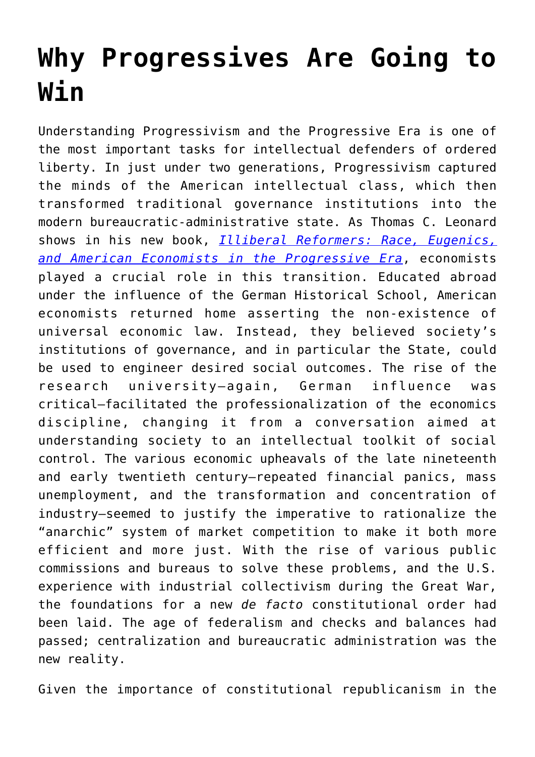## **[Why Progressives Are Going to](https://intellectualtakeout.org/2016/07/why-progressives-are-going-to-win/) [Win](https://intellectualtakeout.org/2016/07/why-progressives-are-going-to-win/)**

Understanding Progressivism and the Progressive Era is one of the most important tasks for intellectual defenders of ordered liberty. In just under two generations, Progressivism captured the minds of the American intellectual class, which then transformed traditional governance institutions into the modern bureaucratic-administrative state. As Thomas C. Leonard shows in his new book, *[Illiberal Reformers: Race, Eugenics,](http://astore.amazon.com/theimaginativeconservative-20/detail/0691169594) [and American Economists in the Progressive Era](http://astore.amazon.com/theimaginativeconservative-20/detail/0691169594)*, economists played a crucial role in this transition. Educated abroad under the influence of the German Historical School, American economists returned home asserting the non-existence of universal economic law. Instead, they believed society's institutions of governance, and in particular the State, could be used to engineer desired social outcomes. The rise of the research university—again, German influence was critical—facilitated the professionalization of the economics discipline, changing it from a conversation aimed at understanding society to an intellectual toolkit of social control. The various economic upheavals of the late nineteenth and early twentieth century—repeated financial panics, mass unemployment, and the transformation and concentration of industry—seemed to justify the imperative to rationalize the "anarchic" system of market competition to make it both more efficient and more just. With the rise of various public commissions and bureaus to solve these problems, and the U.S. experience with industrial collectivism during the Great War, the foundations for a new *de facto* constitutional order had been laid. The age of federalism and checks and balances had passed; centralization and bureaucratic administration was the new reality.

Given the importance of constitutional republicanism in the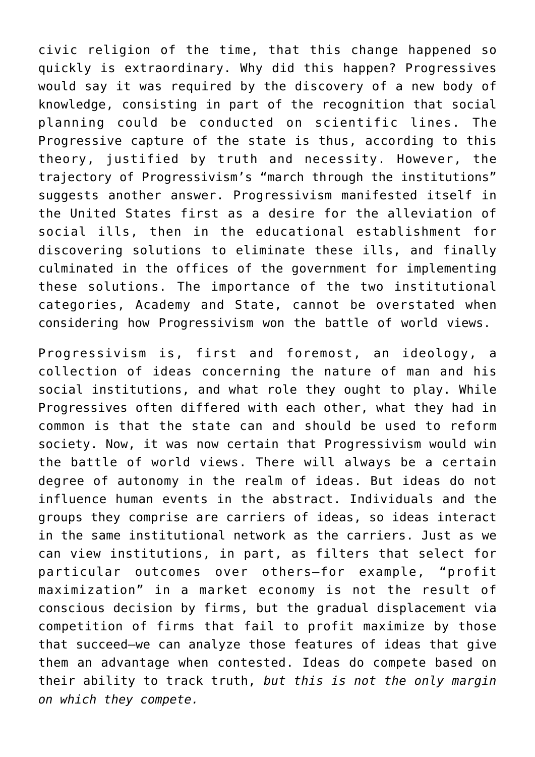civic religion of the time, that this change happened so quickly is extraordinary. Why did this happen? Progressives would say it was required by the discovery of a new body of knowledge, consisting in part of the recognition that social planning could be conducted on scientific lines. The Progressive capture of the state is thus, according to this theory, justified by truth and necessity. However, the trajectory of Progressivism's "march through the institutions" suggests another answer. Progressivism manifested itself in the United States first as a desire for the alleviation of social ills, then in the educational establishment for discovering solutions to eliminate these ills, and finally culminated in the offices of the government for implementing these solutions. The importance of the two institutional categories, Academy and State, cannot be overstated when considering how Progressivism won the battle of world views.

Progressivism is, first and foremost, an ideology, a collection of ideas concerning the nature of man and his social institutions, and what role they ought to play. While Progressives often differed with each other, what they had in common is that the state can and should be used to reform society. Now, it was now certain that Progressivism would win the battle of world views. There will always be a certain degree of autonomy in the realm of ideas. But ideas do not influence human events in the abstract. Individuals and the groups they comprise are carriers of ideas, so ideas interact in the same institutional network as the carriers. Just as we can view institutions, in part, as filters that select for particular outcomes over others—for example, "profit maximization" in a market economy is not the result of conscious decision by firms, but the gradual displacement via competition of firms that fail to profit maximize by those that succeed—we can analyze those features of ideas that give them an advantage when contested. Ideas do compete based on their ability to track truth, *but this is not the only margin on which they compete.*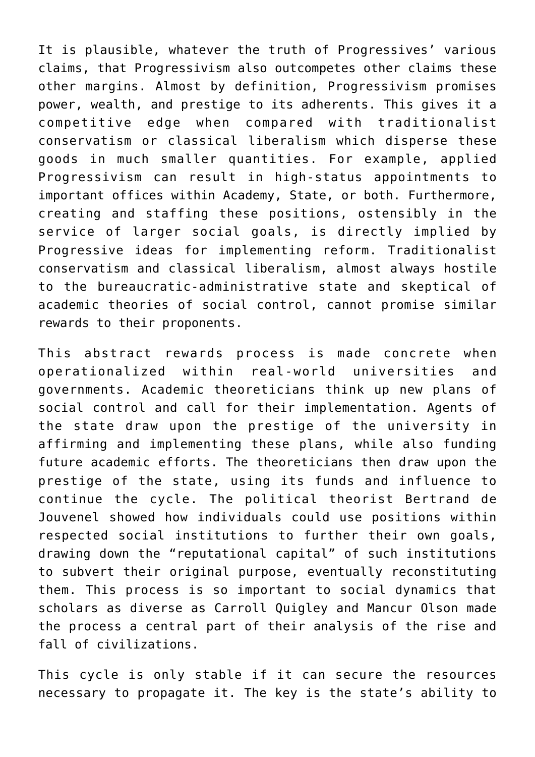It is plausible, whatever the truth of Progressives' various claims, that Progressivism also outcompetes other claims these other margins. Almost by definition, Progressivism promises power, wealth, and prestige to its adherents. This gives it a competitive edge when compared with traditionalist conservatism or classical liberalism which disperse these goods in much smaller quantities. For example, applied Progressivism can result in high-status appointments to important offices within Academy, State, or both. Furthermore, creating and staffing these positions, ostensibly in the service of larger social goals, is directly implied by Progressive ideas for implementing reform. Traditionalist conservatism and classical liberalism, almost always hostile to the bureaucratic-administrative state and skeptical of academic theories of social control, cannot promise similar rewards to their proponents.

This abstract rewards process is made concrete when operationalized within real-world universities and governments. Academic theoreticians think up new plans of social control and call for their implementation. Agents of the state draw upon the prestige of the university in affirming and implementing these plans, while also funding future academic efforts. The theoreticians then draw upon the prestige of the state, using its funds and influence to continue the cycle. The political theorist Bertrand de Jouvenel showed how individuals could use positions within respected social institutions to further their own goals, drawing down the "reputational capital" of such institutions to subvert their original purpose, eventually reconstituting them. This process is so important to social dynamics that scholars as diverse as Carroll Quigley and Mancur Olson made the process a central part of their analysis of the rise and fall of civilizations.

This cycle is only stable if it can secure the resources necessary to propagate it. The key is the state's ability to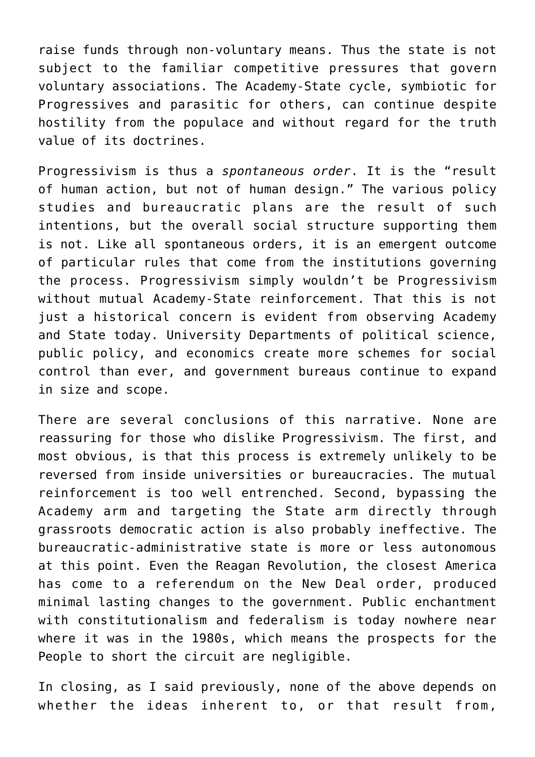raise funds through non-voluntary means. Thus the state is not subject to the familiar competitive pressures that govern voluntary associations. The Academy-State cycle, symbiotic for Progressives and parasitic for others, can continue despite hostility from the populace and without regard for the truth value of its doctrines.

Progressivism is thus a *spontaneous order*. It is the "result of human action, but not of human design." The various policy studies and bureaucratic plans are the result of such intentions, but the overall social structure supporting them is not. Like all spontaneous orders, it is an emergent outcome of particular rules that come from the institutions governing the process. Progressivism simply wouldn't be Progressivism without mutual Academy-State reinforcement. That this is not just a historical concern is evident from observing Academy and State today. University Departments of political science, public policy, and economics create more schemes for social control than ever, and government bureaus continue to expand in size and scope.

There are several conclusions of this narrative. None are reassuring for those who dislike Progressivism. The first, and most obvious, is that this process is extremely unlikely to be reversed from inside universities or bureaucracies. The mutual reinforcement is too well entrenched. Second, bypassing the Academy arm and targeting the State arm directly through grassroots democratic action is also probably ineffective. The bureaucratic-administrative state is more or less autonomous at this point. Even the Reagan Revolution, the closest America has come to a referendum on the New Deal order, produced minimal lasting changes to the government. Public enchantment with constitutionalism and federalism is today nowhere near where it was in the 1980s, which means the prospects for the People to short the circuit are negligible.

In closing, as I said previously, none of the above depends on whether the ideas inherent to, or that result from,